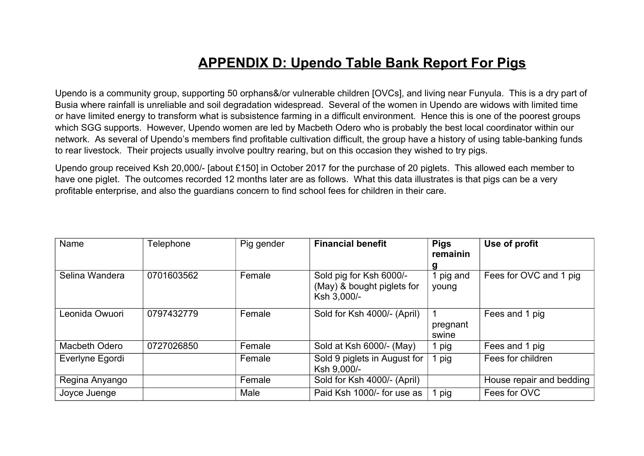## **APPENDIX D: Upendo Table Bank Report For Pigs**

Upendo is a community group, supporting 50 orphans&/or vulnerable children [OVCs], and living near Funyula. This is a dry part of Busia where rainfall is unreliable and soil degradation widespread. Several of the women in Upendo are widows with limited time or have limited energy to transform what is subsistence farming in a difficult environment. Hence this is one of the poorest groups which SGG supports. However, Upendo women are led by Macbeth Odero who is probably the best local coordinator within our network. As several of Upendo's members find profitable cultivation difficult, the group have a history of using table-banking funds to rear livestock. Their projects usually involve poultry rearing, but on this occasion they wished to try pigs.

Upendo group received Ksh 20,000/- [about £150] in October 2017 for the purchase of 20 piglets. This allowed each member to have one piglet. The outcomes recorded 12 months later are as follows. What this data illustrates is that pigs can be a very profitable enterprise, and also the guardians concern to find school fees for children in their care.

| Name            | Telephone  | Pig gender | <b>Financial benefit</b>                                             | <b>Pigs</b><br>remainin | Use of profit            |
|-----------------|------------|------------|----------------------------------------------------------------------|-------------------------|--------------------------|
| Selina Wandera  | 0701603562 | Female     | Sold pig for Ksh 6000/-<br>(May) & bought piglets for<br>Ksh 3,000/- | g<br>pig and<br>young   | Fees for OVC and 1 pig.  |
| Leonida Owuori  | 0797432779 | Female     | Sold for Ksh 4000/- (April)                                          | pregnant<br>swine       | Fees and 1 pig           |
| Macbeth Odero   | 0727026850 | Female     | Sold at Ksh 6000/- (May)                                             | pig                     | Fees and 1 pig           |
| Everlyne Egordi |            | Female     | Sold 9 piglets in August for<br>Ksh 9,000/-                          | pig                     | Fees for children        |
| Regina Anyango  |            | Female     | Sold for Ksh 4000/- (April)                                          |                         | House repair and bedding |
| Joyce Juenge    |            | Male       | Paid Ksh 1000/- for use as                                           | pig                     | Fees for OVC             |